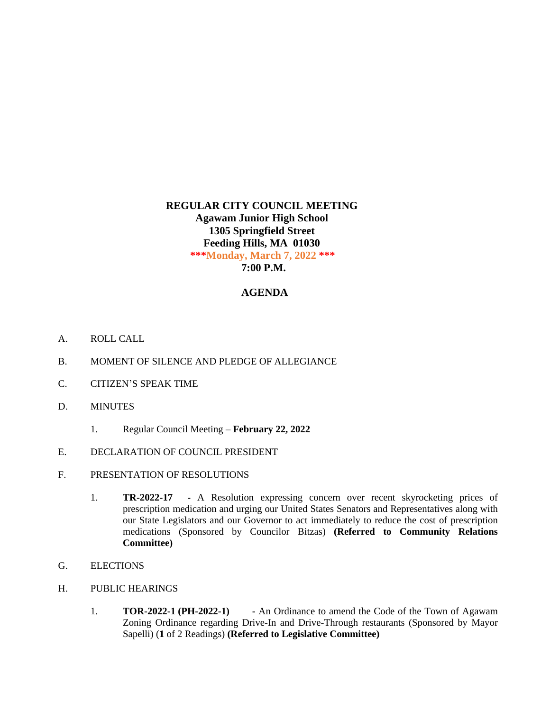## **REGULAR CITY COUNCIL MEETING Agawam Junior High School 1305 Springfield Street Feeding Hills, MA 01030 \*\*\*Monday, March 7, 2022 \*\*\* 7:00 P.M.**

## **AGENDA**

- A. ROLL CALL
- B. MOMENT OF SILENCE AND PLEDGE OF ALLEGIANCE
- C. CITIZEN'S SPEAK TIME
- D. MINUTES
	- 1. Regular Council Meeting **February 22, 2022**
- E. DECLARATION OF COUNCIL PRESIDENT
- F. PRESENTATION OF RESOLUTIONS
	- 1. **TR-2022-17 -** A Resolution expressing concern over recent skyrocketing prices of prescription medication and urging our United States Senators and Representatives along with our State Legislators and our Governor to act immediately to reduce the cost of prescription medications (Sponsored by Councilor Bitzas) **(Referred to Community Relations Committee)**
- G. ELECTIONS
- H. PUBLIC HEARINGS
	- 1. **TOR-2022-1 (PH-2022-1) -** An Ordinance to amend the Code of the Town of Agawam Zoning Ordinance regarding Drive-In and Drive-Through restaurants (Sponsored by Mayor Sapelli) (**1** of 2 Readings) **(Referred to Legislative Committee)**